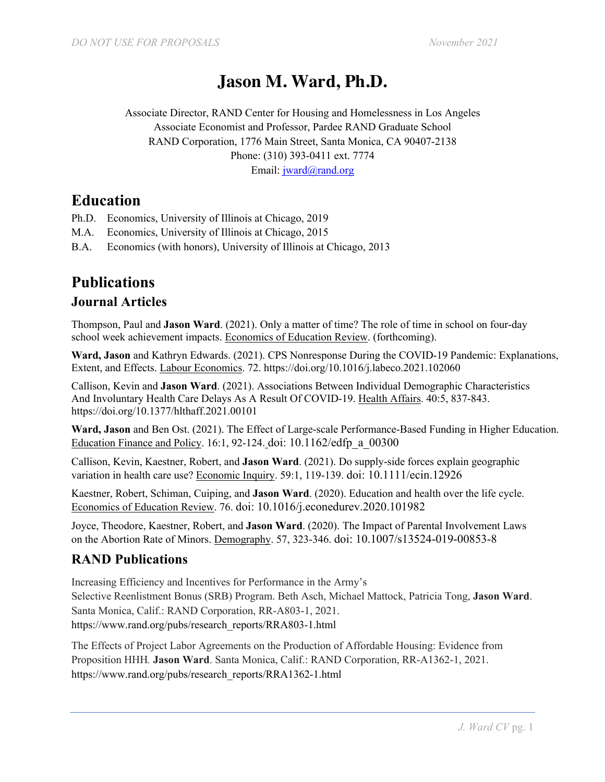# **Jason M. Ward, Ph.D.**

Associate Director, RAND Center for Housing and Homelessness in Los Angeles Associate Economist and Professor, Pardee RAND Graduate School RAND Corporation, 1776 Main Street, Santa Monica, CA 90407-2138 Phone: (310) 393-0411 ext. 7774 Email: jward@rand.org

**Education**

- Ph.D. Economics, University of Illinois at Chicago, 2019
- M.A. Economics, University of Illinois at Chicago, 2015
- B.A. Economics (with honors), University of Illinois at Chicago, 2013

## **Publications**

#### **Journal Articles**

Thompson, Paul and **Jason Ward**. (2021). Only a matter of time? The role of time in school on four-day school week achievement impacts. Economics of Education Review. (forthcoming).

**Ward, Jason** and Kathryn Edwards. (2021). CPS Nonresponse During the COVID-19 Pandemic: Explanations, Extent, and Effects. Labour Economics. 72. https://doi.org/10.1016/j.labeco.2021.102060

Callison, Kevin and **Jason Ward**. (2021). Associations Between Individual Demographic Characteristics And Involuntary Health Care Delays As A Result Of COVID-19. Health Affairs. 40:5, 837-843. https://doi.org/10.1377/hlthaff.2021.00101

**Ward, Jason** and Ben Ost. (2021). The Effect of Large-scale Performance-Based Funding in Higher Education. Education Finance and Policy. 16:1, 92-124. doi: 10.1162/edfp\_a\_00300

Callison, Kevin, Kaestner, Robert, and **Jason Ward**. (2021). Do supply-side forces explain geographic variation in health care use? Economic Inquiry. 59:1, 119-139. doi: 10.1111/ecin.12926

Kaestner, Robert, Schiman, Cuiping, and **Jason Ward**. (2020). Education and health over the life cycle. Economics of Education Review. 76. doi: 10.1016/j.econedurev.2020.101982

Joyce, Theodore, Kaestner, Robert, and **Jason Ward**. (2020). The Impact of Parental Involvement Laws on the Abortion Rate of Minors. Demography. 57, 323-346. doi: 10.1007/s13524-019-00853-8

#### **RAND Publications**

Increasing Efficiency and Incentives for Performance in the Army's Selective Reenlistment Bonus (SRB) Program. Beth Asch, Michael Mattock, Patricia Tong, **Jason Ward**. Santa Monica, Calif.: RAND Corporation, RR-A803-1, 2021. https://www.rand.org/pubs/research\_reports/RRA803-1.html

The Effects of Project Labor Agreements on the Production of Affordable Housing: Evidence from Proposition HHH*.* **Jason Ward**. Santa Monica, Calif.: RAND Corporation, RR-A1362-1, 2021. https://www.rand.org/pubs/research\_reports/RRA1362-1.html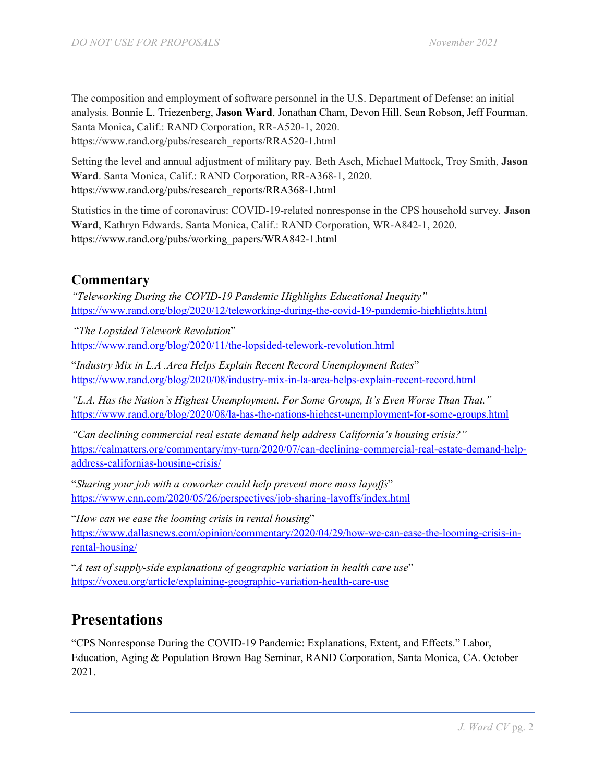The composition and employment of software personnel in the U.S. Department of Defense: an initial analysis*.* Bonnie L. Triezenberg, **Jason Ward**, Jonathan Cham, Devon Hill, Sean Robson, Jeff Fourman, Santa Monica, Calif.: RAND Corporation, RR-A520-1, 2020. https://www.rand.org/pubs/research\_reports/RRA520-1.html

Setting the level and annual adjustment of military pay*.* Beth Asch, Michael Mattock, Troy Smith, **Jason Ward**. Santa Monica, Calif.: RAND Corporation, RR-A368-1, 2020. https://www.rand.org/pubs/research\_reports/RRA368-1.html

Statistics in the time of coronavirus: COVID-19-related nonresponse in the CPS household survey*.* **Jason Ward**, Kathryn Edwards. Santa Monica, Calif.: RAND Corporation, WR-A842-1, 2020. https://www.rand.org/pubs/working\_papers/WRA842-1.html

#### **Commentary**

*"Teleworking During the COVID-19 Pandemic Highlights Educational Inequity"* https://www.rand.org/blog/2020/12/teleworking-during-the-covid-19-pandemic-highlights.html

"*The Lopsided Telework Revolution*" https://www.rand.org/blog/2020/11/the-lopsided-telework-revolution.html

"*Industry Mix in L.A .Area Helps Explain Recent Record Unemployment Rates*" https://www.rand.org/blog/2020/08/industry-mix-in-la-area-helps-explain-recent-record.html

*"L.A. Has the Nation's Highest Unemployment. For Some Groups, It's Even Worse Than That."* https://www.rand.org/blog/2020/08/la-has-the-nations-highest-unemployment-for-some-groups.html

*"Can declining commercial real estate demand help address California's housing crisis?"* https://calmatters.org/commentary/my-turn/2020/07/can-declining-commercial-real-estate-demand-helpaddress-californias-housing-crisis/

"*Sharing your job with a coworker could help prevent more mass layoffs*" https://www.cnn.com/2020/05/26/perspectives/job-sharing-layoffs/index.html

"*How can we ease the looming crisis in rental housing*" https://www.dallasnews.com/opinion/commentary/2020/04/29/how-we-can-ease-the-looming-crisis-inrental-housing/

"*A test of supply-side explanations of geographic variation in health care use*" https://voxeu.org/article/explaining-geographic-variation-health-care-use

## **Presentations**

"CPS Nonresponse During the COVID-19 Pandemic: Explanations, Extent, and Effects." Labor, Education, Aging & Population Brown Bag Seminar, RAND Corporation, Santa Monica, CA. October 2021.